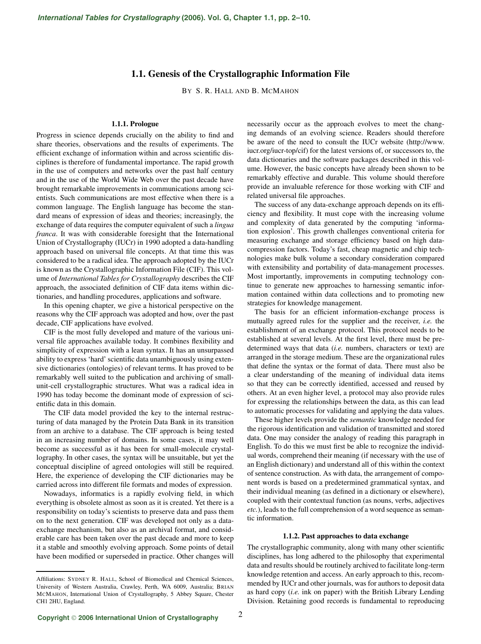# **1.1. Genesis of the Crystallographic Information File**

BY S. R. HALL AND B. MCMAHON

## **1.1.1. Prologue**

Progress in science depends crucially on the ability to find and share theories, observations and the results of experiments. The efficient exchange of information within and across scientific disciplines is therefore of fundamental importance. The rapid growth in the use of computers and networks over the past half century and in the use of the World Wide Web over the past decade have brought remarkable improvements in communications among scientists. Such communications are most effective when there is a common language. The English language has become the standard means of expression of ideas and theories; increasingly, the exchange of data requires the computer equivalent of such a *lingua franca*. It was with considerable foresight that the International Union of Crystallography (IUCr) in 1990 adopted a data-handling approach based on universal file concepts. At that time this was considered to be a radical idea. The approach adopted by the IUCr is known as the Crystallographic Information File (CIF). This volume of *International Tables for Crystallography* describes the CIF approach, the associated definition of CIF data items within dictionaries, and handling procedures, applications and software.

In this opening chapter, we give a historical perspective on the reasons why the CIF approach was adopted and how, over the past decade, CIF applications have evolved.

CIF is the most fully developed and mature of the various universal file approaches available today. It combines flexibility and simplicity of expression with a lean syntax. It has an unsurpassed ability to express 'hard' scientific data unambiguously using extensive dictionaries (ontologies) of relevant terms. It has proved to be remarkably well suited to the publication and archiving of smallunit-cell crystallographic structures. What was a radical idea in 1990 has today become the dominant mode of expression of scientific data in this domain.

The CIF data model provided the key to the internal restructuring of data managed by the Protein Data Bank in its transition from an archive to a database. The CIF approach is being tested in an increasing number of domains. In some cases, it may well become as successful as it has been for small-molecule crystallography. In other cases, the syntax will be unsuitable, but yet the conceptual discipline of agreed ontologies will still be required. Here, the experience of developing the CIF dictionaries may be carried across into different file formats and modes of expression.

Nowadays, informatics is a rapidly evolving field, in which everything is obsolete almost as soon as it is created. Yet there is a responsibility on today's scientists to preserve data and pass them on to the next generation. CIF was developed not only as a dataexchange mechanism, but also as an archival format, and considerable care has been taken over the past decade and more to keep it a stable and smoothly evolving approach. Some points of detail have been modified or superseded in practice. Other changes will

necessarily occur as the approach evolves to meet the changing demands of an evolving science. Readers should therefore be aware of the need to consult the IUCr website (http://www. iucr.org/iucr-top/cif) for the latest versions of, or successors to, the data dictionaries and the software packages described in this volume. However, the basic concepts have already been shown to be remarkably effective and durable. This volume should therefore provide an invaluable reference for those working with CIF and related universal file approaches.

The success of any data-exchange approach depends on its efficiency and flexibility. It must cope with the increasing volume and complexity of data generated by the computing 'information explosion'. This growth challenges conventional criteria for measuring exchange and storage efficiency based on high datacompression factors. Today's fast, cheap magnetic and chip technologies make bulk volume a secondary consideration compared with extensibility and portability of data-management processes. Most importantly, improvements in computing technology continue to generate new approaches to harnessing semantic information contained within data collections and to promoting new strategies for knowledge management.

The basis for an efficient information-exchange process is mutually agreed rules for the supplier and the receiver, *i.e.* the establishment of an exchange protocol. This protocol needs to be established at several levels. At the first level, there must be predetermined ways that data (*i.e.* numbers, characters or text) are arranged in the storage medium. These are the organizational rules that define the syntax or the format of data. There must also be a clear understanding of the meaning of individual data items so that they can be correctly identified, accessed and reused by others. At an even higher level, a protocol may also provide rules for expressing the relationships between the data, as this can lead to automatic processes for validating and applying the data values.

These higher levels provide the *semantic* knowledge needed for the rigorous identification and validation of transmitted and stored data. One may consider the analogy of reading this paragraph in English. To do this we must first be able to recognize the individual words, comprehend their meaning (if necessary with the use of an English dictionary) and understand all of this within the context of sentence construction. As with data, the arrangement of component words is based on a predetermined grammatical syntax, and their individual meaning (as defined in a dictionary or elsewhere), coupled with their contextual function (as nouns, verbs, adjectives *etc.*), leads to the full comprehension of a word sequence as semantic information.

#### **1.1.2. Past approaches to data exchange**

The crystallographic community, along with many other scientific disciplines, has long adhered to the philosophy that experimental data and results should be routinely archived to facilitate long-term knowledge retention and access. An early approach to this, recommended by IUCr and other journals, was for authors to deposit data as hard copy (*i.e.* ink on paper) with the British Library Lending Division. Retaining good records is fundamental to reproducing

Affiliations: SYDNEY R. HALL, School of Biomedical and Chemical Sciences, University of Western Australia, Crawley, Perth, WA 6009, Australia; BRIAN MCMAHON, International Union of Crystallography, 5 Abbey Square, Chester CH1 2HU, England.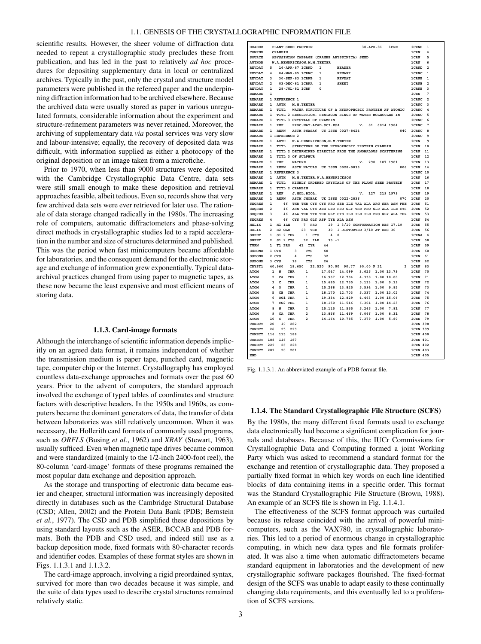#### 1.1. GENESIS OF THE CRYSTALLOGRAPHIC INFORMATION FILE

scientific results. However, the sheer volume of diffraction data needed to repeat a crystallographic study precludes these from publication, and has led in the past to relatively *ad hoc* procedures for depositing supplementary data in local or centralized archives. Typically in the past, only the crystal and structure model parameters were published in the refereed paper and the underpinning diffraction information had to be archived elsewhere. Because the archived data were usually stored as paper in various unregulated formats, considerable information about the experiment and structure-refinement parameters was never retained. Moreover, the archiving of supplementary data *via* postal services was very slow and labour-intensive; equally, the recovery of deposited data was difficult, with information supplied as either a photocopy of the original deposition or an image taken from a microfiche.

Prior to 1970, when less than 9000 structures were deposited with the Cambridge Crystallographic Data Centre, data sets were still small enough to make these deposition and retrieval approaches feasible, albeit tedious. Even so, records show that very few archived data sets were ever retrieved for later use. The rationale of data storage changed radically in the 1980s. The increasing role of computers, automatic diffractometers and phase-solving direct methods in crystallographic studies led to a rapid acceleration in the number and size of structures determined and published. This was the period when fast minicomputers became affordable for laboratories, and the consequent demand for the electronic storage and exchange of information grew exponentially. Typical dataarchival practices changed from using paper to magnetic tapes, as these now became the least expensive and most efficient means of storing data.

#### **1.1.3. Card-image formats**

Although the interchange of scientific information depends implicitly on an agreed data format, it remains independent of whether the transmission medium is paper tape, punched card, magnetic tape, computer chip or the Internet. Crystallography has employed countless data-exchange approaches and formats over the past 60 years. Prior to the advent of computers, the standard approach involved the exchange of typed tables of coordinates and structure factors with descriptive headers. In the 1950s and 1960s, as computers became the dominant generators of data, the transfer of data between laboratories was still relatively uncommon. When it was necessary, the Hollerith card formats of commonly used programs, such as *ORFLS* (Busing *et al.*, 1962) and *XRAY* (Stewart, 1963), usually sufficed. Even when magnetic tape drives became common and were standardized (mainly to the 1/2-inch 2400-foot reel), the 80-column 'card-image' formats of these programs remained the most popular data exchange and deposition approach.

As the storage and transporting of electronic data became easier and cheaper, structural information was increasingly deposited directly in databases such as the Cambridge Structural Database (CSD; Allen, 2002) and the Protein Data Bank (PDB; Bernstein *et al.*, 1977). The CSD and PDB simplified these depositions by using standard layouts such as the ASER, BCCAB and PDB formats. Both the PDB and CSD used, and indeed still use as a backup deposition mode, fixed formats with 80-character records and identifier codes. Examples of these format styles are shown in Figs. 1.1.3.1 and 1.1.3.2.

The card-image approach, involving a rigid preordained syntax, survived for more than two decades because it was simple, and the suite of data types used to describe crystal structures remained relatively static.

| <b>HEADER</b>              | PLANT SEED PROTEIN<br>$30 - APR - 81$<br>1CRN                                                                                                     | 1CRND<br>$\mathbf{1}$          |
|----------------------------|---------------------------------------------------------------------------------------------------------------------------------------------------|--------------------------------|
| <b>COMPND</b>              | <b>CRAMBIN</b>                                                                                                                                    | 1CRN<br>4                      |
| SOURCE                     | ABYSSINIAN CABBAGE (CRAMBE ABYSSINICA) SEED                                                                                                       | 1CRN<br>5                      |
| <b>AUTHOR</b>              | W.A. HENDRICKSON, M.M. TEETER                                                                                                                     | 6<br>1CRN                      |
| <b>REVDAT</b>              | 16-APR-87 1CRND<br>5<br>$\mathbf{1}$<br><b>HEADER</b>                                                                                             | 1CRND<br>$\overline{a}$        |
| <b>REVDAT</b>              | 04-MAR-85 1CRNC<br>1<br>$\overline{4}$<br><b>REMARK</b>                                                                                           | 1CRNC<br>1                     |
| <b>REVDAT</b>              | 30-SEP-83 1CRNB<br>$\mathbf{1}$<br>3<br><b>REVDAT</b>                                                                                             | $\mathbf{1}$<br>1CRNB          |
| <b>REVDAT</b>              | $\overline{2}$<br>03-DEC-81 1CRNA<br>$\mathbf{1}$<br><b>SHEET</b>                                                                                 | 1CRNB<br>$\overline{a}$        |
| <b>REVDAT</b>              | 28-JUL-81 1CRN<br>1<br>$\Omega$                                                                                                                   | <b>1CRNB</b><br>3              |
| <b>REMARK</b>              | 1                                                                                                                                                 | 7<br>1CRN                      |
| <b>REMARK</b>              | 1 REFERENCE 1                                                                                                                                     | <b>1CRNC</b><br>$\overline{a}$ |
| <b>REMARK</b>              | 1<br>AUTH<br>M.M.TEETER                                                                                                                           | 1CRNC<br>3                     |
| <b>REMARK</b>              | TITL<br>WATER STRUCTURE OF A HYDROPHOBIC PROTEIN AT ATOMIC<br>$\mathbf{1}$                                                                        | 1CRNC<br>4                     |
| <b>REMARK</b>              | TITL 2 RESOLUTION. PENTAGON RINGS OF WATER MOLECULES IN<br>1                                                                                      | 1CRNC<br>5                     |
| <b>REMARK</b>              | $\mathbf 1$<br>TITL 3 CRYSTALS OF CRAMBIN                                                                                                         | 1CRNC<br>6                     |
| <b>REMARK</b>              | 1<br><b>REF</b><br>PROC.NAT.ACAD.SCI.USA<br>v.<br>81 6014 1984                                                                                    | 7<br><b>1CRNC</b>              |
| <b>REMARK</b>              | 1<br><b>REFN</b><br>ASTM PNASA6 US ISSN 0027-8424<br>040                                                                                          | 1CRNC<br>8                     |
| <b>REMARK</b>              | 1 REFERENCE 2                                                                                                                                     | 1CRNC<br>9                     |
| <b>REMARK</b>              | $\mathbf{1}$<br><b>AUTH</b><br>W.A.HENDRICKSON, M.M.TEETER                                                                                        | 9<br>1CRN                      |
| <b>REMARK</b>              | 1<br>TITL.<br>STRUCTURE OF THE HYDROPHOBIC PROTEIN CRAMBIN                                                                                        | 1CRN<br>10                     |
| <b>REMARK</b>              | TITL 2 DETERMINED DIRECTLY FROM THE ANOMALOUS SCATTERING<br>$\mathbf{1}$                                                                          | 1CRN<br>11                     |
| <b>REMARK</b>              | 1<br>TITL 3 OF SULPHUR                                                                                                                            | 1CRN<br>12                     |
| <b>REMARK</b>              | $\mathbf{1}$<br><b>REF</b><br><b>NATURE</b><br>v.<br>290<br>107 1981                                                                              | 1CRN<br>13                     |
| <b>REMARK</b>              | ASTM NATUAS UK ISSN 0028-0836<br>1<br><b>REFN</b><br>006                                                                                          | 1CRN<br>14                     |
| <b>REMARK</b>              | 1 REFERENCE 3                                                                                                                                     | 1CRNC 10                       |
| <b>REMARK</b>              | M.M. TEETER, W.A. HENDRICKSON<br>1.<br><b>AUTH</b>                                                                                                | 1CRN<br>16                     |
| <b>REMARK</b>              | TITL.<br>HIGHLY ORDERED CRYSTALS OF THE PLANT SEED PROTEIN<br>$\mathbf{1}$                                                                        | 1CRN<br>17                     |
| <b>REMARK</b>              | $\mathbf{1}$<br>TITL 2 CRAMBIN                                                                                                                    | 1CRN<br>18                     |
| <b>REMARK</b>              | REF<br>п.<br>J.MOL.BIOL.<br>127<br>219 1979<br>v.                                                                                                 | 1CRN<br>19                     |
| <b>REMARK</b>              | ASTM JMOBAK UK ISSN 0022-2836<br><b>REFN</b><br>$\mathbf{1}$<br>070                                                                               | 1CRN<br>20                     |
| <b>SEQRES</b>              | THR THR CYS CYS PRO SER ILE VAL ALA ARG SER ASN PHE<br>1<br>46                                                                                    | 1CRN<br>51                     |
| <b>SEQRES</b>              | ASN VAL CYS ARG LEU PRO GLY THR PRO GLU ALA ILE CYS<br>$\mathcal{P}$<br>46                                                                        | 52<br>1CRN                     |
| <b>SEQRES</b>              | ALA THR TYR THR GLY CYS ILE ILE ILE PRO GLY ALA THR<br>ঽ<br>46                                                                                    | 1CRN<br>53                     |
| <b>SEQRES</b>              | CYS PRO GLY ASP TYR ALA ASN<br>4<br>46                                                                                                            | 1CRN<br>54                     |
| <b>HELIX</b>               | 7<br>$\mathbf{1}$<br>H1 ILE<br><b>PRO</b><br>19<br>1 3/10 CONFORMATION RES 17,19                                                                  | 1CRN<br>55                     |
| <b>HELIX</b>               | $\overline{2}$<br>H <sub>2</sub> GLU<br>23<br>THR<br>30<br>1 DISTORTED 3/10 AT RES 30                                                             | 1CRN<br>56                     |
| <b>SHEET</b>               | S1 2 THR<br>$\mathbf{1}$<br>CYS<br>$\overline{\mathbf{4}}$<br>1<br>$\Omega$                                                                       | 4<br>1CRNA                     |
| <b>SHEET</b>               | $35 - 1$<br>$\mathcal{P}$<br>$S1$ 2 $CYS$<br>32<br><b>ILE</b>                                                                                     | 58<br>1CRN                     |
| TURN                       | 41<br>TYR<br>44<br>1<br>T1 PRO                                                                                                                    | 1CRN<br>59                     |
| <b>SSBOND</b>              | 1 CYS<br>3<br>CYS<br>40                                                                                                                           | 1CRN<br>60                     |
| <b>SSBOND</b>              | 2 CYS<br>$\overline{4}$<br>CYS<br>32                                                                                                              | 1CRN<br>61                     |
| <b>SSBOND</b>              | 3 CYS<br>16<br>CYS<br>26                                                                                                                          | 1CRN<br>62                     |
| CRYST1                     | 40.960<br>18.650<br>22.520 90.00 90.77<br>90.00 P 21<br>$\overline{a}$                                                                            | 1CRN<br>63                     |
| <b>ATOM</b>                | $\mathbf{1}$<br>N<br>THR<br>$\mathbf{1}$<br>17.047<br>14.099<br>3.625<br>1.00 13.79                                                               | 70<br>1CRN                     |
| <b>ATOM</b>                | $\overline{2}$<br>CA<br>THR<br>1<br>16.967<br>12.784<br>4.338<br>1.00 10.80<br>3<br>C.<br>$\mathbf{1}$                                            | 1CRN<br>71<br>72               |
| <b>ATOM</b><br><b>ATOM</b> | THR<br>15.685<br>12.755<br>5.133<br>1.00<br>9.19<br>$\overline{\mathbf{4}}$<br>THR<br>13.825<br>5.594<br>1.00<br>9.85<br>$\Omega$<br>1.<br>15.268 | 1CRN<br>73<br>1CRN             |
| <b>ATOM</b>                | 1.00 13.02<br>5<br>CB<br>THR<br>1<br>18.170<br>12.703<br>5.337                                                                                    | 74                             |
| <b>ATOM</b>                | 6<br>OG1 THR<br>$\mathbf{1}$<br>19.334<br>12.829<br>4.463<br>1.00 15.06                                                                           | 1 CRN<br>1CRN<br>75            |
| <b>ATOM</b>                | $\overline{7}$<br>CG2 THR<br>1<br>18.150<br>11.546<br>6.304<br>1.00 14.23                                                                         | 76<br>1CRN                     |
| <b>ATOM</b>                | 8<br>N<br>THR<br>$\overline{a}$<br>15.115<br>11.555<br>5.265<br>1.00<br>7.81                                                                      | 1CRN<br>77                     |
| <b>ATOM</b>                | 9<br>C <sub>A</sub><br>THR<br>$\overline{a}$<br>13.856<br>11.469<br>6.066<br>1.00<br>8.31                                                         | 1CRN<br>78                     |
| <b>ATOM</b>                | 10<br>c<br>THR<br>10.785<br>7.379<br>1.00<br>5.80<br>$\mathbf{c}$<br>14.164                                                                       | 1CRN<br>79                     |
| CONECT                     | 20<br>19<br>282                                                                                                                                   | 1CRN 398                       |
| CONECT                     | 26<br>2.5<br>229                                                                                                                                  | 1CRN 399                       |
| CONECT                     | 116<br>115<br>188                                                                                                                                 | 1CRN 400                       |
| CONECT                     | 188<br>116<br>187                                                                                                                                 | <b>1CRN 401</b>                |
| CONECT                     | 229<br>26<br>228                                                                                                                                  | 1CRN 402                       |
| CONECT                     | 282<br>20<br>281                                                                                                                                  | 1CRN 403                       |
| <b>END</b>                 |                                                                                                                                                   | 1CRN 405                       |
|                            |                                                                                                                                                   |                                |

Fig. 1.1.3.1. An abbreviated example of a PDB format file.

## **1.1.4. The Standard Crystallographic File Structure (SCFS)**

By the 1980s, the many different fixed formats used to exchange data electronically had become a significant complication for journals and databases. Because of this, the IUCr Commissions for Crystallographic Data and Computing formed a joint Working Party which was asked to recommend a standard format for the exchange and retention of crystallographic data. They proposed a partially fixed format in which key words on each line identified blocks of data containing items in a specific order. This format was the Standard Crystallographic File Structure (Brown, 1988). An example of an SCFS file is shown in Fig. 1.1.4.1.

The effectiveness of the SCFS format approach was curtailed because its release coincided with the arrival of powerful minicomputers, such as the VAX780, in crystallographic laboratories. This led to a period of enormous change in crystallographic computing, in which new data types and file formats proliferated. It was also a time when automatic diffractometers became standard equipment in laboratories and the development of new crystallographic software packages flourished. The fixed-format design of the SCFS was unable to adapt easily to these continually changing data requirements, and this eventually led to a proliferation of SCFS versions.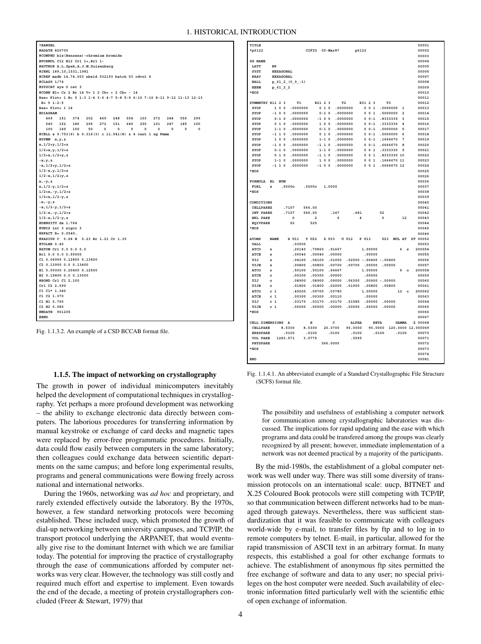#### 1. HISTORICAL INTRODUCTION

**?BAWGEL #ADATE 820705 #COMPND bis(Benzene)-chromium bromide #FORMUL C12 H12 Cr1 1+,Br1 1- #AUTHOR A.L.Spek,A.J.M.Duisenberg #JRNL 189,10,1531,1981 #CREF msdb 14.74.003 nbsid 532193 batch 53 cdvol 6 #CLASS 1/74 #SYSCAT sys O cat 3 #CONN El= Cr 2 Br 14 V= 1 2 Ch= + 2 Ch= - 14 Res= Plot= 1 B= 5 1-3 1-4 3-6 4-7 5-8 5-9 6-10 7-10 8-11 9-12 11-13 12-13 B= 9 1-2-5 Res= Plot= 1 14 #DIAGRAM 469 151 374 202 469 248 554 103 272 248 556 299 640 152 186 296 272 151 640 250 101 247 185 100 100 149 100 50 0 0 0 0 0 0 0 0 #CELL a 9.753(6) b 9.316(3) c 11.941(8) z 4 cent 1 sg Fmmm #SYMM x,y,z x,1/2+y,1/2+z 1/2+x,y,1/2+z 1/2+x,1/2+y,z -x,y,z -x,1/2+y,1/2+z 1/2-x,y,1/2+z 1/2-x,1/2+y,z x,-y,z x,1/2-y,1/2+z 1/2+x,-y,1/2+z 1/2+x,1/2-y,z -x,-y,z -x,1/2-y,1/2+z 1/2-x,-y,1/2+z 1/2-x,1/2-y,z #DENSITY dx 1.764 #UNIS int 3 sigcc 3 #RFACT R= 0.0540. #RADIUS C 0.68 H 0.23 Br 1.21 Cr 1.35 #TOLER 0.40 #ATOM Cr1 0.0 0.0 0.0 Br1 0.0 0.0 0.50000 C1 0.06900 0.12800 0.13400 C2 0.13900 0.0 0.13400 H1 0.09300 0.20400 0.12500 H2 0.19800 0.0 0.13000 #BOND Cr1 C1 2.100 Cr1 C2 2.090 C1 C1\* 1.340 C1 C2 1.370 C1 H1 0.760 C2 H2 0.580 #MDATE 901205 #END**

Fig. 1.1.3.2. An example of a CSD BCCAB format file.

## **1.1.5. The impact of networking on crystallography**

The growth in power of individual minicomputers inevitably helped the development of computational techniques in crystallography. Yet perhaps a more profound development was networking – the ability to exchange electronic data directly between computers. The laborious procedures for transferring information by manual keystroke or exchange of card decks and magnetic tapes were replaced by error-free programmatic procedures. Initially, data could flow easily between computers in the same laboratory; then colleagues could exchange data between scientific departments on the same campus; and before long experimental results, programs and general communications were flowing freely across national and international networks.

During the 1960s, networking was *ad hoc* and proprietary, and rarely extended effectively outside the laboratory. By the 1970s, however, a few standard networking protocols were becoming established. These included uucp, which promoted the growth of dial-up networking between university campuses, and TCP/IP, the transport protocol underlying the ARPANET, that would eventually give rise to the dominant Internet with which we are familiar today. The potential for improving the practice of crystallography through the ease of communications afforded by computer networks was very clear. However, the technology was still costly and required much effort and expertise to implement. Even towards the end of the decade, a meeting of protein crystallographers concluded (Freer & Stewart, 1979) that

| $*_{p6122}$                            |                   |                   | CIFIO  |                | $05 - \text{Mar87}$ |                |               | p6122   |              |                            |                         | 00002                  |
|----------------------------------------|-------------------|-------------------|--------|----------------|---------------------|----------------|---------------|---------|--------------|----------------------------|-------------------------|------------------------|
|                                        |                   |                   |        |                |                     |                |               |         |              |                            |                         | 00003                  |
| <b>SG NAME</b>                         |                   |                   |        |                |                     |                |               |         |              |                            |                         | 00004                  |
| <b>LATT</b>                            | <b>NP</b>         |                   |        |                |                     |                |               |         |              |                            |                         | 00005                  |
| SYST                                   | <b>HEXAGONAL</b>  |                   |        |                |                     |                |               |         |              |                            |                         | 00006                  |
| <b>BRAV</b>                            | <b>HEXAGONAL</b>  |                   |        |                |                     |                |               |         |              |                            |                         | 00007                  |
| HALL                                   |                   | $p$ 61 2 (0 0 -1) |        |                |                     |                |               |         |              |                            |                         | 00008                  |
| <b>HERM</b>                            | p 61 2 2          |                   |        |                |                     |                |               |         |              |                            |                         | 00009                  |
| $*EOS$                                 |                   |                   |        |                |                     |                |               |         |              |                            |                         | 00010                  |
|                                        |                   |                   |        |                |                     |                |               |         |              |                            |                         | 00011                  |
|                                        | SYMMETRY R11 2 3  | T1                |        | R21 2 3        |                     | T <sub>2</sub> |               | R31 2 3 |              | T3                         |                         | 00012                  |
| SYOP                                   | 100               | .0000000          |        |                | 010                 | .0000000       |               |         | $0 \t0 \t1$  | .0000000                   | $\mathbf{1}$            | 00013                  |
| SYOP                                   | $-100$            | .0000000          |        |                | $0 - 1 = 0$         | .0000000       |               |         | $0 \t0 \t1$  | .5000000                   | $\overline{2}$          | 00014                  |
| SYOP                                   | $0 - 1 = 0$       | .0000000          |        |                | $-1$ 0 0            | .0000000       |               |         | $0 \t 0-1$   | .8333330                   | $\overline{\mathbf{z}}$ | 00015                  |
| SYOP                                   | 010               | .0000000          |        |                | 100                 | .0000000       |               |         | $0 \t 0-1$   | .3333330                   | 4                       | 00016                  |
|                                        |                   |                   |        |                |                     |                |               |         |              |                            |                         |                        |
| SYOP                                   | $1 - 1 = 0$       | .0000000          |        |                | $0 - 1 = 0$         | .0000000       |               |         | $0 \t 0-1$   | .0000000                   | 5                       | 00017                  |
| SYOP                                   | $-1$ 1 0          | .0000000          |        |                | 010                 | .0000000       |               |         | $0 0 - 1$    | .5000000                   | 6                       | 00018                  |
| SYOP                                   | 100               | .0000000          |        |                | $1 - 1 = 0$         | .0000000       |               |         | $0 \t 0-1$   | .1666670                   | 7                       | 00019                  |
| SYOP                                   | $-100$            | .0000000          |        |                | $-1$ 1 0            | .0000000       |               |         | $0 \t 0 - 1$ | .6666670                   | 8                       | 00020                  |
| SYOP                                   | $0 - 1 = 0$       | .0000000          |        |                | $1 - 1 = 0$         | .0000000       |               |         | $0 \t0 \t1$  | .3333330                   | 9                       | 00021                  |
| SYOP                                   | 010               | .0000000          |        |                | $-1$ 1 0            | .0000000       |               |         | $0 \t0 \t1$  | .8333330 10                |                         | 00022                  |
| SYOP                                   | $1 - 1 = 0$       | .0000000          |        |                | 100                 | .0000000       |               |         | $0 \t0 \t1$  | .1666670 11                |                         | 00023                  |
| SYOP                                   | $-1$ 1 0          | .0000000          |        |                | $-1 0 0$            | .0000000       |               |         | $0 \t0 \t1$  | .6666670 12                |                         | 00024                  |
| $*EOS$                                 |                   |                   |        |                |                     |                |               |         |              |                            |                         | 00025                  |
|                                        |                   |                   |        |                |                     |                |               |         |              |                            |                         | 00026                  |
| <b>FORMULA</b>                         | EL.<br>NUM        |                   |        |                |                     |                |               |         |              |                            |                         | 00036                  |
| FORL                                   | s                 | .50000            | .5000c |                | 1,0000              |                |               |         |              |                            |                         | 00037                  |
| $*ROS$                                 |                   |                   |        |                |                     |                |               |         |              |                            |                         | 00038                  |
|                                        |                   |                   |        |                |                     |                |               |         |              |                            |                         |                        |
|                                        |                   |                   |        |                |                     |                |               |         |              |                            |                         | 00039                  |
|                                        |                   |                   |        |                |                     |                |               |         |              |                            |                         |                        |
|                                        |                   |                   |        |                |                     |                |               |         |              |                            |                         | 00040                  |
| <b>CELLPAREX</b>                       |                   | .7107             | 566.00 |                |                     |                |               |         |              |                            |                         | 00041                  |
| INT PAREX                              |                   | .7107             | 566.00 |                |                     | .147           | .681          |         |              | 92                         |                         | 00042                  |
| HKL PARE                               |                   | $\mathbf{0}$      |        | $\overline{2}$ |                     | 0              |               | 4       |              | 0                          | 12                      | 00043                  |
| <b>EQIVPARE</b>                        |                   | 92                |        | 525            |                     |                |               |         |              |                            |                         | 00044                  |
|                                        |                   |                   |        |                |                     |                |               |         |              |                            |                         | 00045                  |
|                                        |                   |                   |        |                |                     |                |               |         |              |                            |                         | 00046                  |
|                                        | <b>NAME</b>       | <b>x</b> U11      | Y U22  |                | Z U33               |                | <b>U U12</b>  | P U13   |              | II23                       | MUL AT                  | DT 00052               |
| UALL.                                  |                   | .03500            |        |                |                     |                |               |         |              |                            |                         | 00053                  |
| ATCO                                   | s                 | .20140            |        | .79860         |                     | .91667         |               |         | 1.00000      |                            | 6<br>s                  | 200054                 |
| <b>ATCE</b>                            | s                 | .00040            |        | .00040         |                     | .00000         |               |         | .00000       |                            |                         | 00055                  |
| UIJ                                    | s                 | .04100            |        | .04100         |                     | .01000         |               |         |              | $.02500 - .00400 - .00400$ |                         | 00056                  |
| UIJE                                   | s                 | .00800            |        | .00800         |                     | .00700         | .00700        |         | .00500       | .00500                     |                         | 00057                  |
| <b>ATCO</b>                            | $\circ$           | .50100            |        | .50100         |                     | .66667         |               |         | 1.00000      |                            | 6<br>$\circ$            | 200058                 |
| <b>ATCE</b>                            | $\circ$           | .00300            |        | .00300         |                     | .00000         |               |         | .00000       |                            |                         | 00059                  |
| UIJ                                    | $\circ$           | .08900            |        | .08900         |                     | .09000         | .06300        |         |              | $.00900 - .00900$          |                         | 00060                  |
| UIJE                                   | $\circ$           | .01800            |        | .01800         |                     | .02000         | .01900        |         | .00800       | .00800                     |                         | 00061                  |
| <b>ATCO</b>                            | c <sub>1</sub>    | .49200            |        | .09700         |                     | .03780         |               |         | 1.00000      |                            | 12                      | $\mathbf{c}$<br>200062 |
| <b>ATCE</b>                            | c <sub>1</sub>    | .00300            |        | .00300         |                     | .00110         |               |         | .00000       |                            |                         | 00063                  |
| UIJ                                    | c <sub>1</sub>    | .03170            |        | .03170         |                     |                | .03170 .01585 |         | .00000       | .00000                     |                         | 00064                  |
| UIJE                                   | c <sub>1</sub>    | .00000            |        | .00000         |                     | .00000         |               |         | .00000       | .00000                     |                         | 00065                  |
|                                        |                   |                   |        |                |                     |                | .00000        |         |              |                            |                         | 00066                  |
|                                        |                   |                   |        |                |                     |                |               |         |              |                            |                         |                        |
|                                        |                   |                   |        |                |                     |                |               |         |              |                            |                         | 00067                  |
|                                        | CELL DIMENSIONS A |                   | в      |                |                     | C              | <b>ALPHA</b>  |         | <b>BETA</b>  |                            | GAMMA                   | Z 00068                |
| <b>CELLPARE</b>                        |                   | 8.5300            | 8.5300 |                | 20.3700             |                | 90.0000       |         | 90.0000      |                            |                         | 120.0000 12.000069     |
| <b>ERRSPARE</b>                        |                   | .0100             | .0100  |                |                     | .0100          | .0100         |         |              | .0100                      | .0100                   | 00070                  |
| $*EOS$<br>$*FOS$<br><b>VOL PARE</b>    |                   | 1283.571          | 3.0775 |                |                     |                | .5595         |         |              |                            |                         | 00071                  |
| CONDITIONS<br><b>ATOMS</b><br>PHYSPARE |                   |                   |        |                | 566.0000            |                |               |         |              |                            |                         | 00072                  |
|                                        |                   |                   |        |                |                     |                |               |         |              |                            |                         | 00073                  |
| $*EOS$                                 |                   |                   |        |                |                     |                |               |         |              |                            |                         | 00074                  |

Fig. 1.1.4.1. An abbreviated example of a Standard Crystallographic File Structure (SCFS) format file.

The possibility and usefulness of establishing a computer network for communication among crystallographic laboratories was discussed. The implications for rapid updating and the ease with which programs and data could be transfered among the groups was clearly recognized by all present; however, immediate implementation of a network was not deemed practical by a majority of the participants.

By the mid-1980s, the establishment of a global computer network was well under way. There was still some diversity of transmission protocols on an international scale: uucp, BITNET and X.25 Coloured Book protocols were still competing with TCP/IP, so that communication between different networks had to be managed through gateways. Nevertheless, there was sufficient standardization that it was feasible to communicate with colleagues world-wide by e-mail, to transfer files by ftp and to log in to remote computers by telnet. E-mail, in particular, allowed for the rapid transmission of ASCII text in an arbitrary format. In many respects, this established a goal for other exchange formats to achieve. The establishment of anonymous ftp sites permitted the free exchange of software and data to any user; no special privileges on the host computer were needed. Such availability of electronic information fitted particularly well with the scientific ethic of open exchange of information.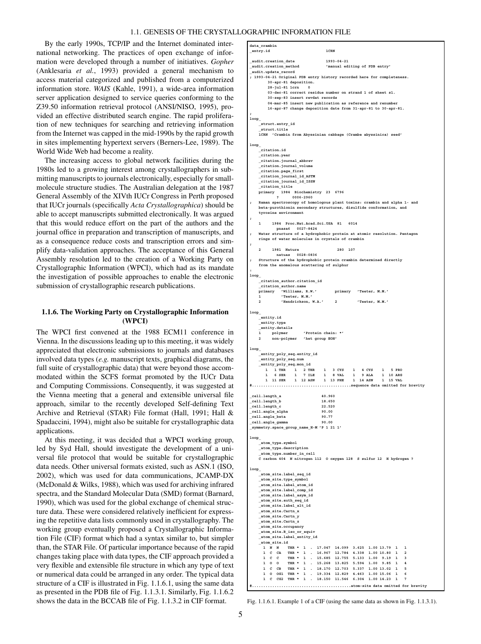**data\_crambin**

By the early 1990s, TCP/IP and the Internet dominated international networking. The practices of open exchange of information were developed through a number of initiatives. *Gopher* (Anklesaria *et al.*, 1993) provided a general mechanism to access material categorized and published from a computerized information store. *WAIS* (Kahle, 1991), a wide-area information server application designed to service queries conforming to the Z39.50 information retrieval protocol (ANSI/NISO, 1995), provided an effective distributed search engine. The rapid proliferation of new techniques for searching and retrieving information from the Internet was capped in the mid-1990s by the rapid growth in sites implementing hypertext servers (Berners-Lee, 1989). The World Wide Web had become a reality.

The increasing access to global network facilities during the 1980s led to a growing interest among crystallographers in submitting manuscripts to journals electronically, especially for smallmolecule structure studies. The Australian delegation at the 1987 General Assembly of the XIVth IUCr Congress in Perth proposed that IUCr journals (specifically *Acta Crystallographica*) should be able to accept manuscripts submitted electronically. It was argued that this would reduce effort on the part of the authors and the journal office in preparation and transcription of manuscripts, and as a consequence reduce costs and transcription errors and simplify data-validation approaches. The acceptance of this General Assembly resolution led to the creation of a Working Party on Crystallographic Information (WPCI), which had as its mandate the investigation of possible approaches to enable the electronic submission of crystallographic research publications.

## **1.1.6. The Working Party on Crystallographic Information (WPCI)**

The WPCI first convened at the 1988 ECM11 conference in Vienna. In the discussions leading up to this meeting, it was widely appreciated that electronic submissions to journals and databases involved data types (*e.g.* manuscript texts, graphical diagrams, the full suite of crystallographic data) that were beyond those accommodated within the SCFS format promoted by the IUCr Data and Computing Commissions. Consequently, it was suggested at the Vienna meeting that a general and extensible universal file approach, similar to the recently developed Self-defining Text Archive and Retrieval (STAR) File format (Hall, 1991; Hall & Spadaccini, 1994), might also be suitable for crystallographic data applications.

At this meeting, it was decided that a WPCI working group, led by Syd Hall, should investigate the development of a universal file protocol that would be suitable for crystallographic data needs. Other universal formats existed, such as ASN.1 (ISO, 2002), which was used for data communications, JCAMP-DX (McDonald & Wilks, 1988), which was used for archiving infrared spectra, and the Standard Molecular Data (SMD) format (Barnard, 1990), which was used for the global exchange of chemical structure data. These were considered relatively inefficient for expressing the repetitive data lists commonly used in crystallography. The working group eventually proposed a Crystallographic Information File (CIF) format which had a syntax similar to, but simpler than, the STAR File. Of particular importance because of the rapid changes taking place with data types, the CIF approach provided a very flexible and extensible file structure in which any type of text or numerical data could be arranged in any order. The typical data structure of a CIF is illustrated in Fig. 1.1.6.1, using the same data as presented in the PDB file of Fig. 1.1.3.1. Similarly, Fig. 1.1.6.2 shows the data in the BCCAB file of Fig. 1.1.3.2 in CIF format.

```
entry.id 1CRN
_audit.creation_date 1993-04-21
                                    'manual editing of PDB entry
_audit.update_record
; 1993-04-21 Original PDB entry history recorded here for completeness.
        30-apr-81 deposition.
        28-jul-81 1crn 0
        03-dec-81 correct residue number on strand 1 of sheet s1.
        30-sep-83 insert revdat records
        04-mar-85 insert new publication as reference and ren
        16-apr-87 change deposition date from 31-apr-81 to 30-apr-81.
;
loop_
    _struct.entry_id
    _struct.title
   1CRN 'Crambin from Abyssinian cabbage (Crambe abyssinica) seed'
loop_
   _citation.id
    _citation.year
    _citation.journal_abbrev
    _citation.journal_volume
    _citation.page_first
    _citation_journal_id_ASTM
    _citation_journal_id_ISSN
   _citation_title
              primary 1984 Biochemistry 23 6796
                   ? 0006-2960
   ; Raman spectroscopy of homologous plant toxins: crambin and alpha 1- and
    beta-purothionin secondary structures, disulfide conformation, and
   tyrosine environment
;
   1 1984 Proc.Nat.Acad.Sci.USA 81 6014
pnasa6 0027-8424
; Water structure of a hydrophobic protein at atomic resolution. Pentagon
   rings of water molecules in crystals of crambin
;
   2 1981 Nature 280 107
natuas 0028-0836
; Structure of the hydrophobic protein crambin determined directly
   from the anomalous scattering of sulphur
:
loop_
   _citation_author.citation_id
    _citation_author.name
   primary 'Williams, R.W.' primary 'Teeter, M.M.'
   1 'Teeter, M.M.'
              2 'Hendrickson, W.A.' 2 'Teeter, M.M.'
loop_
   _entity.id
    _entity.type
   _entity.details
          1 polymer 'Protein chain: *'
   2 non-polymer 'het group EOH'
loop_
   _entity_poly_seq.entity_id
     _entity_poly_seq.num
    _entity_poly_seq.mon_id
       1 1 THR 1 2 THR 1 3 CYS 1 4 CYS 1 5 PRO
       1 6 SER 1 7 ILE 1 8 VAL 1 9 ALA 1 10 ARG
1 11 SER 1 12 ASN 1 13 PHE 1 14 ASN 1 15 VAL
                                 #............................................sequence data omitted for brevity
_cell.length_a 40.960
_cell.length_b 18.650
_cell.length_c 22.520
_cell.angle_alpha 90.00
_cell.angle_beta 90.77
-<br>cell.angle_gamma
_symmetry.space_group_name_H-M 'P 1 21 1'
  loop_
    _atom_type.symbol
_atom_type.description
    _atom_type.number_in_cell
   C carbon 404 N nitrogen 112 O oxygen 128 S sulfur 12 H hydrogen ?
loop_
   _atom_site.label_seq_id
    _atom_site.type_symbol
_atom_site.label_atom_id
    _atom_site.label_comp_id
    _atom_site.label_asym_id
    _atom_site.auth_seq_id
    _atom_site.label_alt_id
    _atom_site.Cartn_x
    _atom_site.Cartn_y
    _atom_site.Cartn_z
    _atom_site.occupancy
    _atom_site.B_iso_or_equiv
    _atom_site.label_entity_id
    _atom_site.id
     1 N N THR * 1 . 17.047 14.099 3.625 1.00 13.79<br>1 C CA THR * 1 . 16.967 12.784 4.338 1.00 10.80<br>1 C C THR * 1 . 15.685 12.755 5.133 1.00 9.19
      1 C CA THR * 1 . 16.967 12.784 4.338 1.00 10.80 1 2
                 THR * 1 . 15.685 12.755 5.133 1.00 9.19<br>THR * 1 . 15.268 13.825 5.594 1.00 9.85
     1 O O THR * 1 . 15.268 13.825 5.594 1.00 9.85 1 4
                                                1 C CB THR * 1 . 18.170 12.703 5.337 1.00 13.02 1 5
      1 C OB THR * 1 . 18.170 12.703 5.337 1.00 13.02 1 5<br>
1 O OG1 THR * 1 . 19.334 12.829 4.463 1.00 15.06 1 6<br>
1 C OG2 THR * 1 . 18.150 11.546 6.304 1.00 14.23 1 7
                               1 C CG2 THR * 1 . 18.150 11.546 6.304 1.00 14.23 1 7
            #............................................atom-site data omitted for brevity
```

```
Fig. 1.1.6.1. Example 1 of a CIF (using the same data as shown in Fig. 1.1.3.1).
```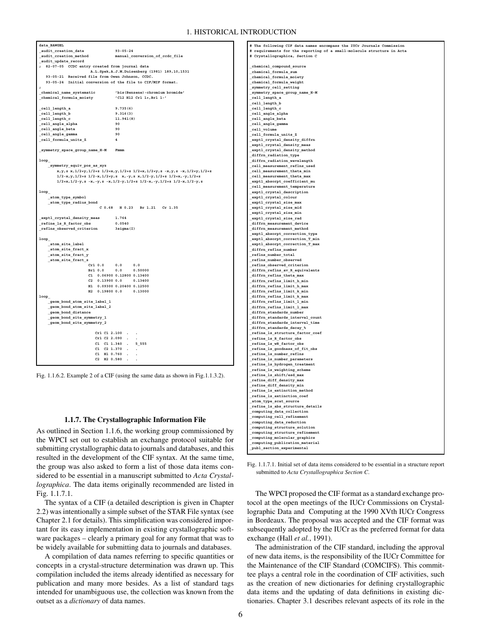### 1. HISTORICAL INTRODUCTION

| data BAWGEL                                                |                                                                                                                     |
|------------------------------------------------------------|---------------------------------------------------------------------------------------------------------------------|
| audit creation date                                        | $93 - 05 - 24$                                                                                                      |
| $\_audit\_creation\_method$                                | manual_conversion_of_ccdc_file                                                                                      |
| audit update record                                        |                                                                                                                     |
| ; 82-07-05 CCDC entry created from journal data            |                                                                                                                     |
|                                                            | A.L.Spek, A.J.M.Duisenberg (1981) 189, 10, 1531                                                                     |
| 93-05-21 Received file from Owen Johnson, CCDC.            |                                                                                                                     |
| 93-05-24 Initial conversion of the file to CIF/MIF format. |                                                                                                                     |
| ;                                                          |                                                                                                                     |
| _chemical_name_systematic                                  | 'bis (Benzene) - chromium bromide'                                                                                  |
| _chemical_formula_moiety                                   | 'C12 H12 Cr1 1+, Br1 1-'                                                                                            |
|                                                            |                                                                                                                     |
| _cell_length_a                                             | 9.735(6)                                                                                                            |
| $\_cell\_length\_b$                                        | 9.316(3)                                                                                                            |
| _cell_length_c                                             | 11.941(8)                                                                                                           |
| $\_cell\_angle\_alpha$                                     | 90                                                                                                                  |
| _cell_angle_beta                                           | 90                                                                                                                  |
| _cell_angle_gamma                                          | 90                                                                                                                  |
| ${\tt cell\_formula\_units\_Z}$                            | $\overline{\bf 4}$                                                                                                  |
|                                                            |                                                                                                                     |
| _symmetry_space_group_name_H-M                             | Fmmm                                                                                                                |
|                                                            |                                                                                                                     |
| loop                                                       |                                                                                                                     |
| _symmetry_equiv_pos_as_xyz                                 |                                                                                                                     |
|                                                            | x, y, z x, 1/2+y, 1/2+z 1/2+x, y, 1/2+z 1/2+x, 1/2+y, z -x, y, z -x, 1/2+y, 1/2+z                                   |
|                                                            | $1/2-x, y, 1/2+z$ $1/2-x, 1/2+y, z$ $x, -y, z$ $x, 1/2-y, 1/2+z$ $1/2+x, -y, 1/2+z$                                 |
|                                                            | $1/2+x$ , $1/2-y$ , $z -x$ , $-y$ , $z -x$ , $1/2-y$ , $1/2+z$ , $1/2-x$ , $-y$ , $1/2+z$ , $1/2-x$ , $1/2-y$ , $z$ |
|                                                            |                                                                                                                     |
| $loop_{-}$                                                 |                                                                                                                     |
| _atom_type_symbol                                          |                                                                                                                     |
| _atom_type_radius_bond                                     |                                                                                                                     |
|                                                            | C 0.68 H 0.23 Br 1.21 Cr 1.35                                                                                       |
|                                                            |                                                                                                                     |
|                                                            |                                                                                                                     |
| exptl_crystal_density_meas                                 | 1.764                                                                                                               |
| refine 1s R factor obs                                     | 0.0540                                                                                                              |
|                                                            | $3$ sigma $(I)$                                                                                                     |
| _reflns_observed_criterion                                 |                                                                                                                     |
|                                                            |                                                                                                                     |
| $loop_$                                                    |                                                                                                                     |
| atom site label                                            |                                                                                                                     |
| _atom_site_fract_x                                         |                                                                                                                     |
| _atom_site_fract_y                                         |                                                                                                                     |
| _atom_site_fract_z<br>Cr1 0.0 0.0                          |                                                                                                                     |
| Br1 0.0                                                    | 0.0<br>0.0<br>0.50000                                                                                               |
|                                                            |                                                                                                                     |
|                                                            | C1 0.06900 0.12800 0.13400<br>C2 0.13900 0.0 0.13400                                                                |
|                                                            |                                                                                                                     |
|                                                            | H1 0.09300 0.20400 0.12500                                                                                          |
|                                                            | H2 0.19800 0.0 0.13000                                                                                              |
| loop                                                       |                                                                                                                     |
| _geom_bond_atom_site_label_1                               |                                                                                                                     |
| geom bond atom site label 2                                |                                                                                                                     |
| geom bond distance                                         |                                                                                                                     |
| geom bond site symmetry 1                                  |                                                                                                                     |
| geom_bond_site_symmetry_2                                  |                                                                                                                     |
|                                                            |                                                                                                                     |
|                                                            | Cr1 C1 2.100.                                                                                                       |
| Cr1 C2 2.090 .                                             |                                                                                                                     |
|                                                            | C1 C1 1.340 . 5 555                                                                                                 |
| $C1$ $C2$ $1.370$ .                                        |                                                                                                                     |
|                                                            | C1 H1 0.760.<br>C2 H2 0.580.                                                                                        |

Fig. 1.1.6.2. Example 2 of a CIF (using the same data as shown in Fig.1.1.3.2).

#### **1.1.7. The Crystallographic Information File**

As outlined in Section 1.1.6, the working group commissioned by the WPCI set out to establish an exchange protocol suitable for submitting crystallographic data to journals and databases, and this resulted in the development of the CIF syntax. At the same time, the group was also asked to form a list of those data items considered to be essential in a manuscript submitted to *Acta Crystallographica*. The data items originally recommended are listed in Fig. 1.1.7.1.

The syntax of a CIF (a detailed description is given in Chapter 2.2) was intentionally a simple subset of the STAR File syntax (see Chapter 2.1 for details). This simplification was considered important for its easy implementation in existing crystallographic software packages – clearly a primary goal for any format that was to be widely available for submitting data to journals and databases.

A compilation of data names referring to specific quantities or concepts in a crystal-structure determination was drawn up. This compilation included the items already identified as necessary for publication and many more besides. As a list of standard tags intended for unambiguous use, the collection was known from the outset as a *dictionary* of data names.

**# Crystallographica, Section C \_chemical\_compound\_source \_chemical\_formula\_sum \_chemical\_formula\_moiety \_chemical\_formula\_weight \_symmetry\_cell\_setting \_symmetry\_space\_group\_name\_H-M \_cell\_length\_a \_cell\_length\_b \_cell\_length\_c \_cell\_angle\_alpha \_cell\_angle\_beta \_cell\_angle\_gamma \_cell\_volume \_cell\_formula\_units\_Z \_exptl\_crystal\_density\_diffrn \_exptl\_crystal\_density\_meas \_exptl\_crystal\_density\_method \_diffrn\_radiation\_type \_diffrn\_radiation\_wavelength \_cell\_measurement\_reflns\_used \_cell\_measurement\_theta\_min \_cell\_measurement\_theta\_max \_exptl\_absorpt\_coefficient\_mu \_cell\_measurement\_temperature \_exptl\_crystal\_description \_exptl\_crystal\_colour \_exptl\_crystal\_size\_max \_exptl\_crystal\_size\_mid \_exptl\_crystal\_size\_min \_exptl\_crystal\_size\_rad \_diffrn\_measurement\_device \_diffrn\_measurement\_method \_exptl\_absorpt\_correction\_type \_exptl\_absorpt\_correction\_T\_min \_exptl\_absorpt\_correction\_T\_max** diffrn reflns nu **\_reflns\_number\_total \_reflns\_number\_observed \_reflns\_observed\_criterion \_diffrn\_reflns\_av\_R\_equivalents \_diffrn\_reflns\_theta\_max \_diffrn\_reflns\_limit\_h\_min \_diffrn\_reflns\_limit\_h\_max \_diffrn\_reflns\_limit\_k\_min \_diffrn\_reflns\_limit\_k\_max \_diffrn\_reflns\_limit\_l\_min \_diffrn\_reflns\_limit\_l\_max \_diffrn\_standards\_number** \_<br>\_diffrn\_standards\_interval\_ **\_diffrn\_standards\_interval\_time \_diffrn\_standards\_decay\_% \_refine\_ls\_structure\_factor\_coef \_refine\_ls\_R\_factor\_obs \_refine\_ls\_wR\_factor\_obs \_refine\_ls\_goodness\_of\_fit\_obs \_refine\_ls\_number\_reflns \_refine\_ls\_number\_parameters \_refine\_ls\_hydrogen\_treatment \_refine\_ls\_weighting\_scheme \_refine\_ls\_shift/esd\_max \_refine\_diff\_density\_max \_refine\_diff\_density\_min \_refine\_ls\_extinction\_method \_refine\_ls\_extinction\_coef \_atom\_type\_scat\_source \_refine\_ls\_abs\_structure\_details \_computing\_data\_collection \_computing\_cell\_refinement \_computing\_data\_reduction \_computing\_structure\_solution \_computing\_structure\_refinement \_computing\_molecular\_graphics \_computing\_publication\_material \_publ\_section\_experimental**

**# The following CIF data names encompass the IUCr Journals Commission # requirements for the reporting of a small-molecule structure in Acta**

Fig. 1.1.7.1. Initial set of data items considered to be essential in a structure report submitted to *Acta Crystallographica Section C*.

The WPCI proposed the CIF format as a standard exchange protocol at the open meetings of the IUCr Commissions on Crystallographic Data and Computing at the 1990 XVth IUCr Congress in Bordeaux. The proposal was accepted and the CIF format was subsequently adopted by the IUCr as the preferred format for data exchange (Hall *et al.*, 1991).

The administration of the CIF standard, including the approval of new data items, is the responsibility of the IUCr Committee for the Maintenance of the CIF Standard (COMCIFS). This committee plays a central role in the coordination of CIF activities, such as the creation of new dictionaries for defining crystallographic data items and the updating of data definitions in existing dictionaries. Chapter 3.1 describes relevant aspects of its role in the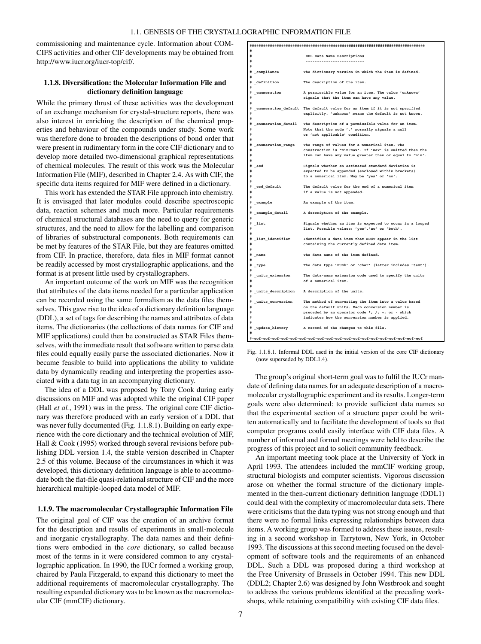commissioning and maintenance cycle. Information about COM-CIFS activities and other CIF developments may be obtained from http://www.iucr.org/iucr-top/cif/.

## **1.1.8. Diversification: the Molecular Information File and dictionary definition language**

While the primary thrust of these activities was the development of an exchange mechanism for crystal-structure reports, there was also interest in enriching the description of the chemical properties and behaviour of the compounds under study. Some work was therefore done to broaden the descriptions of bond order that were present in rudimentary form in the core CIF dictionary and to develop more detailed two-dimensional graphical representations of chemical molecules. The result of this work was the Molecular Information File (MIF), described in Chapter 2.4. As with CIF, the specific data items required for MIF were defined in a dictionary.

This work has extended the STAR File approach into chemistry. It is envisaged that later modules could describe spectroscopic data, reaction schemes and much more. Particular requirements of chemical structural databases are the need to query for generic structures, and the need to allow for the labelling and comparison of libraries of substructural components. Both requirements can be met by features of the STAR File, but they are features omitted from CIF. In practice, therefore, data files in MIF format cannot be readily accessed by most crystallographic applications, and the format is at present little used by crystallographers.

An important outcome of the work on MIF was the recognition that attributes of the data items needed for a particular application can be recorded using the same formalism as the data files themselves. This gave rise to the idea of a dictionary definition language (DDL), a set of tags for describing the names and attributes of data items. The dictionaries (the collections of data names for CIF and MIF applications) could then be constructed as STAR Files themselves, with the immediate result that software written to parse data files could equally easily parse the associated dictionaries. Now it became feasible to build into applications the ability to validate data by dynamically reading and interpreting the properties associated with a data tag in an accompanying dictionary.

The idea of a DDL was proposed by Tony Cook during early discussions on MIF and was adopted while the original CIF paper (Hall *et al.*, 1991) was in the press. The original core CIF dictionary was therefore produced with an early version of a DDL that was never fully documented (Fig. 1.1.8.1). Building on early experience with the core dictionary and the technical evolution of MIF, Hall & Cook (1995) worked through several revisions before publishing DDL version 1.4, the stable version described in Chapter 2.5 of this volume. Because of the circumstances in which it was developed, this dictionary definition language is able to accommodate both the flat-file quasi-relational structure of CIF and the more hierarchical multiple-looped data model of MIF.

### **1.1.9. The macromolecular Crystallographic Information File**

The original goal of CIF was the creation of an archive format for the description and results of experiments in small-molecule and inorganic crystallography. The data names and their definitions were embodied in the *core* dictionary, so called because most of the terms in it were considered common to any crystallographic application. In 1990, the IUCr formed a working group, chaired by Paula Fitzgerald, to expand this dictionary to meet the additional requirements of macromolecular crystallography. The resulting expanded dictionary was to be known as the macromolecular CIF (mmCIF) dictionary.

| #                     |                     |                                                                                                                                                                                                                |
|-----------------------|---------------------|----------------------------------------------------------------------------------------------------------------------------------------------------------------------------------------------------------------|
| #                     |                     | DDL Data Name Descriptions                                                                                                                                                                                     |
| #                     |                     |                                                                                                                                                                                                                |
| #                     |                     |                                                                                                                                                                                                                |
| #                     | # compliance        | The dictionary version in which the item is defined.                                                                                                                                                           |
|                       | # definition        | The description of the item.                                                                                                                                                                                   |
| $\pm$<br>#            | # enumeration       | A permissible value for an item. The value 'unknown'<br>signals that the item can have any value.                                                                                                              |
| #<br>#                |                     | # enumeration default The default value for an item if it is not specified<br>explicitly. 'unknown' means the default is not known.                                                                            |
| #<br>#                |                     | # enumeration detail The description of a permissible value for an item.<br>Note that the code '.' normally signals a null<br>or 'not applicable' condition.                                                   |
| #<br>#<br>#<br>#<br># | _enumeration_range  | The range of values for a numerical item. The<br>construction is 'min:max'. If 'max' is omitted then the<br>item can have any value greater than or equal to 'min'.                                            |
| #<br>#<br>#           | # _esd              | Signals whether an estimated standard deviation is<br>expected to be appended (enclosed within brackets)<br>to a numerical item. May be 'yes' or 'no'.                                                         |
| #<br>#                | # _esd_default      | The default value for the esd of a numerical item<br>if a value is not appended.                                                                                                                               |
|                       | # _example          | An example of the item.                                                                                                                                                                                        |
| #                     | # _example_detail   | A description of the example.                                                                                                                                                                                  |
| #<br>#                | $#$ _list           | Signals whether an item is expected to occur in a looped<br>list. Possible values: 'yes','no' or 'both'.                                                                                                       |
| #<br>#                | # _list_identifier  | Identifies a data item that MUST appear in the list<br>containing the currently defined data item.                                                                                                             |
| #                     | # _name             | The data name of the item defined.                                                                                                                                                                             |
|                       | # _type             | The data type 'numb' or 'char' (latter includes 'text').                                                                                                                                                       |
| $\pm$<br>#            | # units extension   | The data-name extension code used to specify the units<br>of a numerical item.                                                                                                                                 |
| #                     | # units description | A description of the units.                                                                                                                                                                                    |
| #<br>#<br>#<br>#      | # units conversion  | The method of converting the item into a value based<br>on the default units. Each conversion number is<br>preceded by an operator code *, /, +, or - which<br>indicates how the conversion number is applied. |
|                       | # update history    | A record of the changes to this file.                                                                                                                                                                          |
|                       |                     |                                                                                                                                                                                                                |

Fig. 1.1.8.1. Informal DDL used in the initial version of the core CIF dictionary (now superseded by DDL1.4).

The group's original short-term goal was to fulfil the IUCr mandate of defining data names for an adequate description of a macromolecular crystallographic experiment and its results. Longer-term goals were also determined: to provide sufficient data names so that the experimental section of a structure paper could be written automatically and to facilitate the development of tools so that computer programs could easily interface with CIF data files. A number of informal and formal meetings were held to describe the progress of this project and to solicit community feedback.

An important meeting took place at the University of York in April 1993. The attendees included the mmCIF working group, structural biologists and computer scientists. Vigorous discussion arose on whether the formal structure of the dictionary implemented in the then-current dictionary definition language (DDL1) could deal with the complexity of macromolecular data sets. There were criticisms that the data typing was not strong enough and that there were no formal links expressing relationships between data items. A working group was formed to address these issues, resulting in a second workshop in Tarrytown, New York, in October 1993. The discussions at this second meeting focused on the development of software tools and the requirements of an enhanced DDL. Such a DDL was proposed during a third workshop at the Free University of Brussels in October 1994. This new DDL (DDL2; Chapter 2.6) was designed by John Westbrook and sought to address the various problems identified at the preceding workshops, while retaining compatibility with existing CIF data files.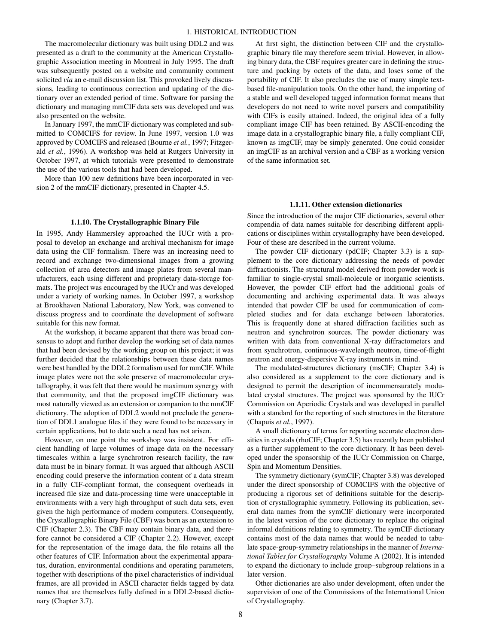The macromolecular dictionary was built using DDL2 and was presented as a draft to the community at the American Crystallographic Association meeting in Montreal in July 1995. The draft was subsequently posted on a website and community comment solicited *via* an e-mail discussion list. This provoked lively discussions, leading to continuous correction and updating of the dictionary over an extended period of time. Software for parsing the dictionary and managing mmCIF data sets was developed and was also presented on the website.

In January 1997, the mmCIF dictionary was completed and submitted to COMCIFS for review. In June 1997, version 1.0 was approved by COMCIFS and released (Bourne *et al.*, 1997; Fitzgerald *et al.*, 1996). A workshop was held at Rutgers University in October 1997, at which tutorials were presented to demonstrate the use of the various tools that had been developed.

More than 100 new definitions have been incorporated in version 2 of the mmCIF dictionary, presented in Chapter 4.5.

## **1.1.10. The Crystallographic Binary File**

In 1995, Andy Hammersley approached the IUCr with a proposal to develop an exchange and archival mechanism for image data using the CIF formalism. There was an increasing need to record and exchange two-dimensional images from a growing collection of area detectors and image plates from several manufacturers, each using different and proprietary data-storage formats. The project was encouraged by the IUCr and was developed under a variety of working names. In October 1997, a workshop at Brookhaven National Laboratory, New York, was convened to discuss progress and to coordinate the development of software suitable for this new format.

At the workshop, it became apparent that there was broad consensus to adopt and further develop the working set of data names that had been devised by the working group on this project; it was further decided that the relationships between these data names were best handled by the DDL2 formalism used for mmCIF. While image plates were not the sole preserve of macromolecular crystallography, it was felt that there would be maximum synergy with that community, and that the proposed imgCIF dictionary was most naturally viewed as an extension or companion to the mmCIF dictionary. The adoption of DDL2 would not preclude the generation of DDL1 analogue files if they were found to be necessary in certain applications, but to date such a need has not arisen.

However, on one point the workshop was insistent. For efficient handling of large volumes of image data on the necessary timescales within a large synchrotron research facility, the raw data must be in binary format. It was argued that although ASCII encoding could preserve the information content of a data stream in a fully CIF-compliant format, the consequent overheads in increased file size and data-processing time were unacceptable in environments with a very high throughput of such data sets, even given the high performance of modern computers. Consequently, the Crystallographic Binary File (CBF) was born as an extension to CIF (Chapter 2.3). The CBF may contain binary data, and therefore cannot be considered a CIF (Chapter 2.2). However, except for the representation of the image data, the file retains all the other features of CIF. Information about the experimental apparatus, duration, environmental conditions and operating parameters, together with descriptions of the pixel characteristics of individual frames, are all provided in ASCII character fields tagged by data names that are themselves fully defined in a DDL2-based dictionary (Chapter 3.7).

At first sight, the distinction between CIF and the crystallographic binary file may therefore seem trivial. However, in allowing binary data, the CBF requires greater care in defining the structure and packing by octets of the data, and loses some of the portability of CIF. It also precludes the use of many simple textbased file-manipulation tools. On the other hand, the importing of a stable and well developed tagged information format means that developers do not need to write novel parsers and compatibility with CIFs is easily attained. Indeed, the original idea of a fully compliant image CIF has been retained. By ASCII-encoding the image data in a crystallographic binary file, a fully compliant CIF, known as imgCIF, may be simply generated. One could consider an imgCIF as an archival version and a CBF as a working version of the same information set.

#### **1.1.11. Other extension dictionaries**

Since the introduction of the major CIF dictionaries, several other compendia of data names suitable for describing different applications or disciplines within crystallography have been developed. Four of these are described in the current volume.

The powder CIF dictionary (pdCIF; Chapter 3.3) is a supplement to the core dictionary addressing the needs of powder diffractionists. The structural model derived from powder work is familiar to single-crystal small-molecule or inorganic scientists. However, the powder CIF effort had the additional goals of documenting and archiving experimental data. It was always intended that powder CIF be used for communication of completed studies and for data exchange between laboratories. This is frequently done at shared diffraction facilities such as neutron and synchrotron sources. The powder dictionary was written with data from conventional X-ray diffractometers and from synchrotron, continuous-wavelength neutron, time-of-flight neutron and energy-dispersive X-ray instruments in mind.

The modulated-structures dictionary (msCIF; Chapter 3.4) is also considered as a supplement to the core dictionary and is designed to permit the description of incommensurately modulated crystal structures. The project was sponsored by the IUCr Commission on Aperiodic Crystals and was developed in parallel with a standard for the reporting of such structures in the literature (Chapuis *et al.*, 1997).

A small dictionary of terms for reporting accurate electron densities in crystals (rhoCIF; Chapter 3.5) has recently been published as a further supplement to the core dictionary. It has been developed under the sponsorship of the IUCr Commission on Charge, Spin and Momentum Densities.

The symmetry dictionary (symCIF; Chapter 3.8) was developed under the direct sponsorship of COMCIFS with the objective of producing a rigorous set of definitions suitable for the description of crystallographic symmetry. Following its publication, several data names from the symCIF dictionary were incorporated in the latest version of the core dictionary to replace the original informal definitions relating to symmetry. The symCIF dictionary contains most of the data names that would be needed to tabulate space-group-symmetry relationships in the manner of *International Tables for Crystallography* Volume A (2002). It is intended to expand the dictionary to include group–subgroup relations in a later version.

Other dictionaries are also under development, often under the supervision of one of the Commissions of the International Union of Crystallography.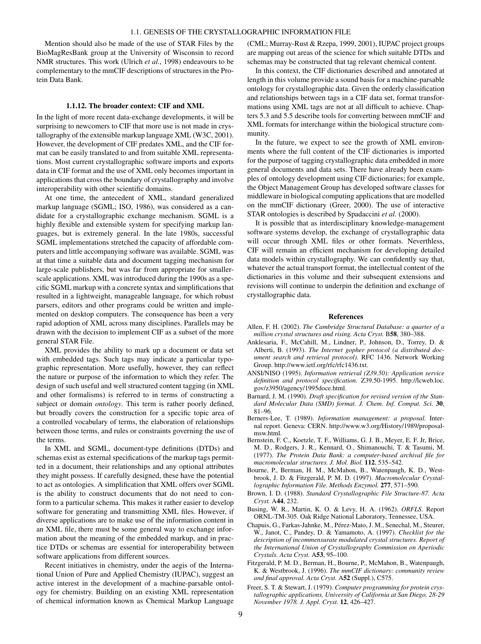### 1.1. GENESIS OF THE CRYSTALLOGRAPHIC INFORMATION FILE

Mention should also be made of the use of STAR Files by the BioMagResBank group at the University of Wisconsin to record NMR structures. This work (Ulrich *et al.*, 1998) endeavours to be complementary to the mmCIF descriptions of structures in the Protein Data Bank.

#### **1.1.12. The broader context: CIF and XML**

In the light of more recent data-exchange developments, it will be surprising to newcomers to CIF that more use is not made in crystallography of the extensible markup language XML (W3C, 2001). However, the development of CIF predates XML, and the CIF format can be easily translated to and from suitable XML representations. Most current crystallographic software imports and exports data in CIF format and the use of XML only becomes important in applications that cross the boundary of crystallography and involve interoperability with other scientific domains.

At one time, the antecedent of XML, standard generalized markup language (SGML; ISO, 1986), was considered as a candidate for a crystallographic exchange mechanism. SGML is a highly flexible and extensible system for specifying markup languages, but is extremely general. In the late 1980s, successful SGML implementations stretched the capacity of affordable computers and little accompanying software was available. SGML was at that time a suitable data and document tagging mechanism for large-scale publishers, but was far from appropriate for smallerscale applications. XML was introduced during the 1990s as a specific SGML markup with a concrete syntax and simplifications that resulted in a lightweight, manageable language, for which robust parsers, editors and other programs could be written and implemented on desktop computers. The consequence has been a very rapid adoption of XML across many disciplines. Parallels may be drawn with the decision to implement CIF as a subset of the more general STAR File.

XML provides the ability to mark up a document or data set with embedded tags. Such tags may indicate a particular typographic representation. More usefully, however, they can reflect the nature or purpose of the information to which they refer. The design of such useful and well structured content tagging (in XML and other formalisms) is referred to in terms of constructing a subject or domain *ontology*. This term is rather poorly defined, but broadly covers the construction for a specific topic area of a controlled vocabulary of terms, the elaboration of relationships between those terms, and rules or constraints governing the use of the terms.

In XML and SGML, document-type definitions (DTDs) and schemas exist as external specifications of the markup tags permitted in a document, their relationships and any optional attributes they might possess. If carefully designed, these have the potential to act as ontologies. A simplification that XML offers over SGML is the ability to construct documents that do not need to conform to a particular schema. This makes it rather easier to develop software for generating and transmitting XML files. However, if diverse applications are to make use of the information content in an XML file, there must be some general way to exchange information about the meaning of the embedded markup, and in practice DTDs or schemas are essential for interoperability between software applications from different sources.

Recent initiatives in chemistry, under the aegis of the International Union of Pure and Applied Chemistry (IUPAC), suggest an active interest in the development of a machine-parsable ontology for chemistry. Building on an existing XML representation of chemical information known as Chemical Markup Language (CML; Murray-Rust & Rzepa, 1999, 2001), IUPAC project groups are mapping out areas of the science for which suitable DTDs and schemas may be constructed that tag relevant chemical content.

In this context, the CIF dictionaries described and annotated at length in this volume provide a sound basis for a machine-parsable ontology for crystallographic data. Given the orderly classification and relationships between tags in a CIF data set, format transformations using XML tags are not at all difficult to achieve. Chapters 5.3 and 5.5 describe tools for converting between mmCIF and XML formats for interchange within the biological structure community.

In the future, we expect to see the growth of XML environments where the full content of the CIF dictionaries is imported for the purpose of tagging crystallographic data embedded in more general documents and data sets. There have already been examples of ontology development using CIF dictionaries; for example, the Object Management Group has developed software classes for middleware in biological computing applications that are modelled on the mmCIF dictionary (Greer, 2000). The use of interactive STAR ontologies is described by Spadaccini *et al.* (2000).

It is possible that as interdisciplinary knowledge-management software systems develop, the exchange of crystallographic data will occur through XML files or other formats. Neverthless, CIF will remain an efficient mechanism for developing detailed data models within crystallography. We can confidently say that, whatever the actual transport format, the intellectual content of the dictionaries in this volume and their subsequent extensions and revisions will continue to underpin the definition and exchange of crystallographic data.

#### **References**

- Allen, F. H. (2002). *The Cambridge Structural Database: a quarter of a million crystal structures and rising. Acta Cryst.* B**58**, 380–388.
- Anklesaria, F., McCahill, M., Lindner, P., Johnson, D., Torrey, D. & Alberti, B. (1993). *The Internet gopher protocol (a distributed document search and retrieval protocol).* RFC 1436. Network Working Group. http://www.ietf.org/rfc/rfc1436.txt.
- ANSI/NISO (1995). *Information retrieval (Z39.50): Application service definition and protocol specification.* Z39.50-1995. http://lcweb.loc. gov/z3950/agency/1995doce.html.
- Barnard, J. M. (1990). *Draft specification for revised version of the Standard Molecular Data (SMD) format. J. Chem. Inf. Comput. Sci.* **30**, 81–96.
- Berners-Lee, T. (1989). *Information management: a proposal.* Internal report. Geneva: CERN. http://www.w3.org/History/1989/proposalmsw.html.
- Bernstein, F. C., Koetzle, T. F., Williams, G. J. B., Meyer, E. F. Jr, Brice, M. D., Rodgers, J. R., Kennard, O., Shimanouchi, T. & Tasumi, M. (1977). *The Protein Data Bank: a computer-based archival file for macromolecular structures. J. Mol. Biol.* **112**, 535–542.
- Bourne, P., Berman, H. M., McMahon, B., Watenpaugh, K. D., Westbrook, J. D. & Fitzgerald, P. M. D. (1997). *Macromolecular Crystallographic Information File. Methods Enzymol.* **277**, 571–590.
- Brown, I. D. (1988). *Standard Crystallographic File Structure-87. Acta Cryst.* A**44**, 232.
- Busing, W. R., Martin, K. O. & Levy, H. A. (1962). *ORFLS.* Report ORNL-TM-305. Oak Ridge National Laboratory, Tennessee, USA.
- Chapuis, G., Farkas-Jahnke, M., Pérez-Mato, J. M., Senechal, M., Steurer, W., Janot, C., Pandey, D. & Yamamoto, A. (1997). *Checklist for the description of incommensurate modulated crystal structures. Report of the International Union of Crystallography Commission on Aperiodic Crystals. Acta Cryst.* A**53**, 95–100.
- Fitzgerald, P. M. D., Berman, H., Bourne, P., McMahon, B., Watenpaugh, K. & Westbrook, J. (1996). *The mmCIF dictionary: community review and final approval. Acta Cryst.* A**52** (Suppl.), C575.
- Freer, S. T. & Stewart, J. (1979). *Computer programming for protein crystallographic applications, University of California at San Diego, 28-29 November 1978. J. Appl. Cryst.* **12**, 426–427.